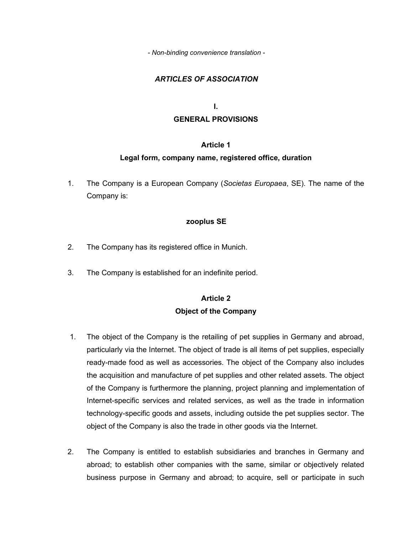*- Non-binding convenience translation -* 

### *ARTICLES OF ASSOCIATION*

# **I. GENERAL PROVISIONS**

### **Article 1**

### **Legal form, company name, registered office, duration**

1. The Company is a European Company (*Societas Europaea*, SE). The name of the Company is:

### **zooplus SE**

- 2. The Company has its registered office in Munich.
- 3. The Company is established for an indefinite period.

# **Article 2 Object of the Company**

- 1. The object of the Company is the retailing of pet supplies in Germany and abroad, particularly via the Internet. The object of trade is all items of pet supplies, especially ready-made food as well as accessories. The object of the Company also includes the acquisition and manufacture of pet supplies and other related assets. The object of the Company is furthermore the planning, project planning and implementation of Internet-specific services and related services, as well as the trade in information technology-specific goods and assets, including outside the pet supplies sector. The object of the Company is also the trade in other goods via the Internet.
- 2. The Company is entitled to establish subsidiaries and branches in Germany and abroad; to establish other companies with the same, similar or objectively related business purpose in Germany and abroad; to acquire, sell or participate in such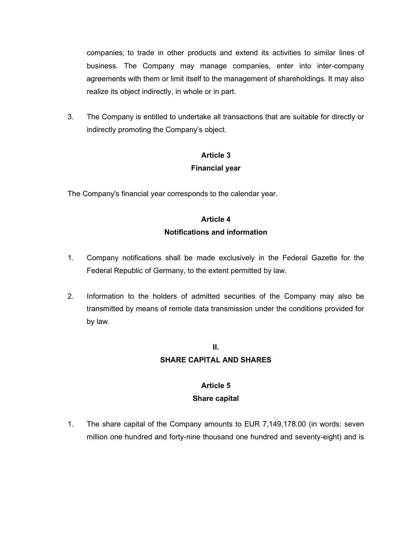companies; to trade in other products and extend its activities to similar lines of business. The Company may manage companies, enter into inter-company agreements with them or limit itself to the management of shareholdings. It may also realize its object indirectly, in whole or in part.

3. The Company is entitled to undertake all transactions that are suitable for directly or indirectly promoting the Company's object.

### **Article 3**

### **Financial year**

The Company's financial year corresponds to the calendar year.

# **Article 4 Notifications and information**

- 1. Company notifications shall be made exclusively in the Federal Gazette for the Federal Republic of Germany, to the extent permitted by law.
- 2. Information to the holders of admitted securities of the Company may also be transmitted by means of remote data transmission under the conditions provided for by law.

# **II.**

### **SHARE CAPITAL AND SHARES**

# **Article 5**

### **Share capital**

1. The share capital of the Company amounts to EUR 7,149,178.00 (in words: seven million one hundred and forty-nine thousand one hundred and seventy-eight) and is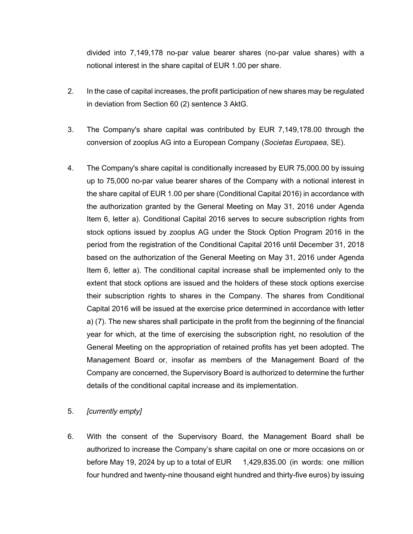divided into 7,149,178 no-par value bearer shares (no-par value shares) with a notional interest in the share capital of EUR 1.00 per share.

- 2. In the case of capital increases, the profit participation of new shares may be regulated in deviation from Section 60 (2) sentence 3 AktG.
- 3. The Company's share capital was contributed by EUR 7,149,178.00 through the conversion of zooplus AG into a European Company (*Societas Europaea*, SE).
- 4. The Company's share capital is conditionally increased by EUR 75,000.00 by issuing up to 75,000 no-par value bearer shares of the Company with a notional interest in the share capital of EUR 1.00 per share (Conditional Capital 2016) in accordance with the authorization granted by the General Meeting on May 31, 2016 under Agenda Item 6, letter a). Conditional Capital 2016 serves to secure subscription rights from stock options issued by zooplus AG under the Stock Option Program 2016 in the period from the registration of the Conditional Capital 2016 until December 31, 2018 based on the authorization of the General Meeting on May 31, 2016 under Agenda Item 6, letter a). The conditional capital increase shall be implemented only to the extent that stock options are issued and the holders of these stock options exercise their subscription rights to shares in the Company. The shares from Conditional Capital 2016 will be issued at the exercise price determined in accordance with letter a) (7). The new shares shall participate in the profit from the beginning of the financial year for which, at the time of exercising the subscription right, no resolution of the General Meeting on the appropriation of retained profits has yet been adopted. The Management Board or, insofar as members of the Management Board of the Company are concerned, the Supervisory Board is authorized to determine the further details of the conditional capital increase and its implementation.

### 5. *[currently empty]*

6. With the consent of the Supervisory Board, the Management Board shall be authorized to increase the Company's share capital on one or more occasions on or before May 19, 2024 by up to a total of EUR 1,429,835.00 (in words: one million four hundred and twenty-nine thousand eight hundred and thirty-five euros) by issuing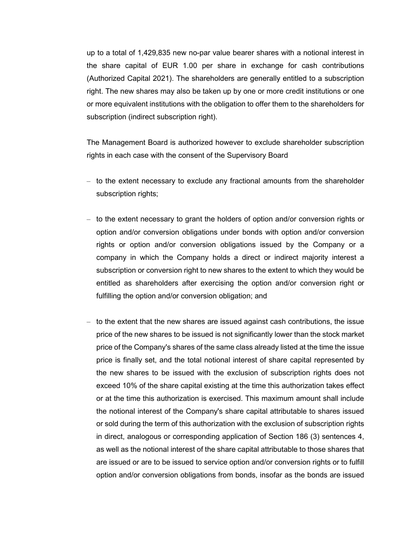up to a total of 1,429,835 new no-par value bearer shares with a notional interest in the share capital of EUR 1.00 per share in exchange for cash contributions (Authorized Capital 2021). The shareholders are generally entitled to a subscription right. The new shares may also be taken up by one or more credit institutions or one or more equivalent institutions with the obligation to offer them to the shareholders for subscription (indirect subscription right).

The Management Board is authorized however to exclude shareholder subscription rights in each case with the consent of the Supervisory Board

- to the extent necessary to exclude any fractional amounts from the shareholder subscription rights;
- to the extent necessary to grant the holders of option and/or conversion rights or option and/or conversion obligations under bonds with option and/or conversion rights or option and/or conversion obligations issued by the Company or a company in which the Company holds a direct or indirect majority interest a subscription or conversion right to new shares to the extent to which they would be entitled as shareholders after exercising the option and/or conversion right or fulfilling the option and/or conversion obligation; and
- to the extent that the new shares are issued against cash contributions, the issue price of the new shares to be issued is not significantly lower than the stock market price of the Company's shares of the same class already listed at the time the issue price is finally set, and the total notional interest of share capital represented by the new shares to be issued with the exclusion of subscription rights does not exceed 10% of the share capital existing at the time this authorization takes effect or at the time this authorization is exercised. This maximum amount shall include the notional interest of the Company's share capital attributable to shares issued or sold during the term of this authorization with the exclusion of subscription rights in direct, analogous or corresponding application of Section 186 (3) sentences 4, as well as the notional interest of the share capital attributable to those shares that are issued or are to be issued to service option and/or conversion rights or to fulfill option and/or conversion obligations from bonds, insofar as the bonds are issued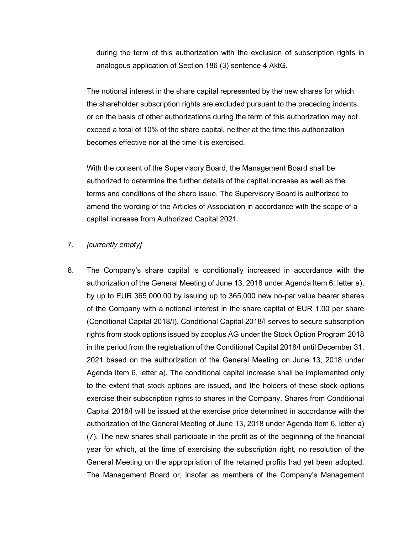during the term of this authorization with the exclusion of subscription rights in analogous application of Section 186 (3) sentence 4 AktG.

The notional interest in the share capital represented by the new shares for which the shareholder subscription rights are excluded pursuant to the preceding indents or on the basis of other authorizations during the term of this authorization may not exceed a total of 10% of the share capital, neither at the time this authorization becomes effective nor at the time it is exercised.

With the consent of the Supervisory Board, the Management Board shall be authorized to determine the further details of the capital increase as well as the terms and conditions of the share issue. The Supervisory Board is authorized to amend the wording of the Articles of Association in accordance with the scope of a capital increase from Authorized Capital 2021.

#### 7. *[currently empty]*

8. The Company's share capital is conditionally increased in accordance with the authorization of the General Meeting of June 13, 2018 under Agenda Item 6, letter a), by up to EUR 365,000.00 by issuing up to 365,000 new no-par value bearer shares of the Company with a notional interest in the share capital of EUR 1.00 per share (Conditional Capital 2018/I). Conditional Capital 2018/I serves to secure subscription rights from stock options issued by zooplus AG under the Stock Option Program 2018 in the period from the registration of the Conditional Capital 2018/I until December 31, 2021 based on the authorization of the General Meeting on June 13, 2018 under Agenda Item 6, letter a). The conditional capital increase shall be implemented only to the extent that stock options are issued, and the holders of these stock options exercise their subscription rights to shares in the Company. Shares from Conditional Capital 2018/I will be issued at the exercise price determined in accordance with the authorization of the General Meeting of June 13, 2018 under Agenda Item 6, letter a) (7). The new shares shall participate in the profit as of the beginning of the financial year for which, at the time of exercising the subscription right, no resolution of the General Meeting on the appropriation of the retained profits had yet been adopted. The Management Board or, insofar as members of the Company's Management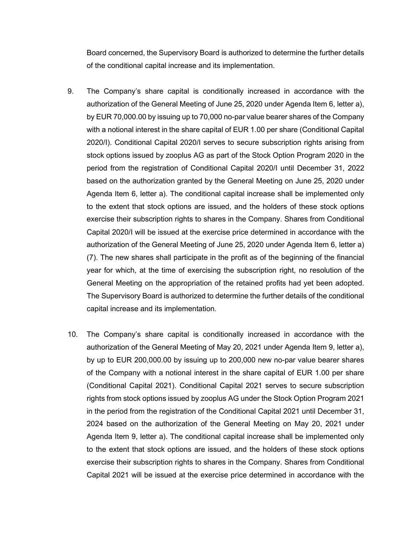Board concerned, the Supervisory Board is authorized to determine the further details of the conditional capital increase and its implementation.

- 9. The Company's share capital is conditionally increased in accordance with the authorization of the General Meeting of June 25, 2020 under Agenda Item 6, letter a), by EUR 70,000.00 by issuing up to 70,000 no-par value bearer shares of the Company with a notional interest in the share capital of EUR 1.00 per share (Conditional Capital 2020/I). Conditional Capital 2020/I serves to secure subscription rights arising from stock options issued by zooplus AG as part of the Stock Option Program 2020 in the period from the registration of Conditional Capital 2020/I until December 31, 2022 based on the authorization granted by the General Meeting on June 25, 2020 under Agenda Item 6, letter a). The conditional capital increase shall be implemented only to the extent that stock options are issued, and the holders of these stock options exercise their subscription rights to shares in the Company. Shares from Conditional Capital 2020/I will be issued at the exercise price determined in accordance with the authorization of the General Meeting of June 25, 2020 under Agenda Item 6, letter a) (7). The new shares shall participate in the profit as of the beginning of the financial year for which, at the time of exercising the subscription right, no resolution of the General Meeting on the appropriation of the retained profits had yet been adopted. The Supervisory Board is authorized to determine the further details of the conditional capital increase and its implementation.
- 10. The Company's share capital is conditionally increased in accordance with the authorization of the General Meeting of May 20, 2021 under Agenda Item 9, letter a), by up to EUR 200,000.00 by issuing up to 200,000 new no-par value bearer shares of the Company with a notional interest in the share capital of EUR 1.00 per share (Conditional Capital 2021). Conditional Capital 2021 serves to secure subscription rights from stock options issued by zooplus AG under the Stock Option Program 2021 in the period from the registration of the Conditional Capital 2021 until December 31, 2024 based on the authorization of the General Meeting on May 20, 2021 under Agenda Item 9, letter a). The conditional capital increase shall be implemented only to the extent that stock options are issued, and the holders of these stock options exercise their subscription rights to shares in the Company. Shares from Conditional Capital 2021 will be issued at the exercise price determined in accordance with the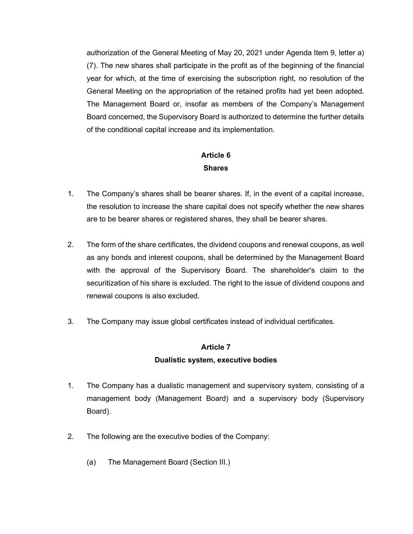authorization of the General Meeting of May 20, 2021 under Agenda Item 9, letter a) (7). The new shares shall participate in the profit as of the beginning of the financial year for which, at the time of exercising the subscription right, no resolution of the General Meeting on the appropriation of the retained profits had yet been adopted. The Management Board or, insofar as members of the Company's Management Board concerned, the Supervisory Board is authorized to determine the further details of the conditional capital increase and its implementation.

### **Article 6 Shares**

- 1. The Company's shares shall be bearer shares. If, in the event of a capital increase, the resolution to increase the share capital does not specify whether the new shares are to be bearer shares or registered shares, they shall be bearer shares.
- 2. The form of the share certificates, the dividend coupons and renewal coupons, as well as any bonds and interest coupons, shall be determined by the Management Board with the approval of the Supervisory Board. The shareholder's claim to the securitization of his share is excluded. The right to the issue of dividend coupons and renewal coupons is also excluded.
- 3. The Company may issue global certificates instead of individual certificates.

### **Article 7**

### **Dualistic system, executive bodies**

- 1. The Company has a dualistic management and supervisory system, consisting of a management body (Management Board) and a supervisory body (Supervisory Board).
- 2. The following are the executive bodies of the Company:
	- (a) The Management Board (Section III.)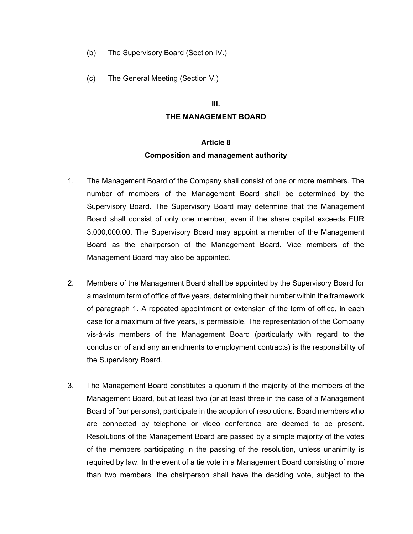- (b) The Supervisory Board (Section IV.)
- (c) The General Meeting (Section V.)

#### **III.**

#### **THE MANAGEMENT BOARD**

#### **Article 8**

#### **Composition and management authority**

- 1. The Management Board of the Company shall consist of one or more members. The number of members of the Management Board shall be determined by the Supervisory Board. The Supervisory Board may determine that the Management Board shall consist of only one member, even if the share capital exceeds EUR 3,000,000.00. The Supervisory Board may appoint a member of the Management Board as the chairperson of the Management Board. Vice members of the Management Board may also be appointed.
- 2. Members of the Management Board shall be appointed by the Supervisory Board for a maximum term of office of five years, determining their number within the framework of paragraph 1. A repeated appointment or extension of the term of office, in each case for a maximum of five years, is permissible. The representation of the Company vis-à-vis members of the Management Board (particularly with regard to the conclusion of and any amendments to employment contracts) is the responsibility of the Supervisory Board.
- 3. The Management Board constitutes a quorum if the majority of the members of the Management Board, but at least two (or at least three in the case of a Management Board of four persons), participate in the adoption of resolutions. Board members who are connected by telephone or video conference are deemed to be present. Resolutions of the Management Board are passed by a simple majority of the votes of the members participating in the passing of the resolution, unless unanimity is required by law. In the event of a tie vote in a Management Board consisting of more than two members, the chairperson shall have the deciding vote, subject to the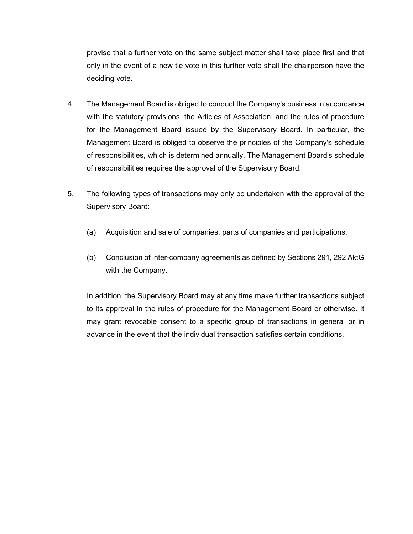proviso that a further vote on the same subject matter shall take place first and that only in the event of a new tie vote in this further vote shall the chairperson have the deciding vote.

- 4. The Management Board is obliged to conduct the Company's business in accordance with the statutory provisions, the Articles of Association, and the rules of procedure for the Management Board issued by the Supervisory Board. In particular, the Management Board is obliged to observe the principles of the Company's schedule of responsibilities, which is determined annually. The Management Board's schedule of responsibilities requires the approval of the Supervisory Board.
- 5. The following types of transactions may only be undertaken with the approval of the Supervisory Board:
	- (a) Acquisition and sale of companies, parts of companies and participations.
	- (b) Conclusion of inter-company agreements as defined by Sections 291, 292 AktG with the Company.

In addition, the Supervisory Board may at any time make further transactions subject to its approval in the rules of procedure for the Management Board or otherwise. It may grant revocable consent to a specific group of transactions in general or in advance in the event that the individual transaction satisfies certain conditions.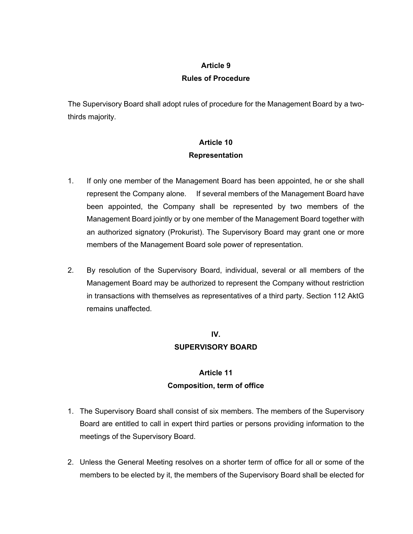#### **Article 9**

#### **Rules of Procedure**

The Supervisory Board shall adopt rules of procedure for the Management Board by a twothirds majority.

# **Article 10 Representation**

- 1. If only one member of the Management Board has been appointed, he or she shall represent the Company alone. If several members of the Management Board have been appointed, the Company shall be represented by two members of the Management Board jointly or by one member of the Management Board together with an authorized signatory (Prokurist). The Supervisory Board may grant one or more members of the Management Board sole power of representation.
- 2. By resolution of the Supervisory Board, individual, several or all members of the Management Board may be authorized to represent the Company without restriction in transactions with themselves as representatives of a third party. Section 112 AktG remains unaffected.

# **IV.**

### **SUPERVISORY BOARD**

# **Article 11 Composition, term of office**

- 1. The Supervisory Board shall consist of six members. The members of the Supervisory Board are entitled to call in expert third parties or persons providing information to the meetings of the Supervisory Board.
- 2. Unless the General Meeting resolves on a shorter term of office for all or some of the members to be elected by it, the members of the Supervisory Board shall be elected for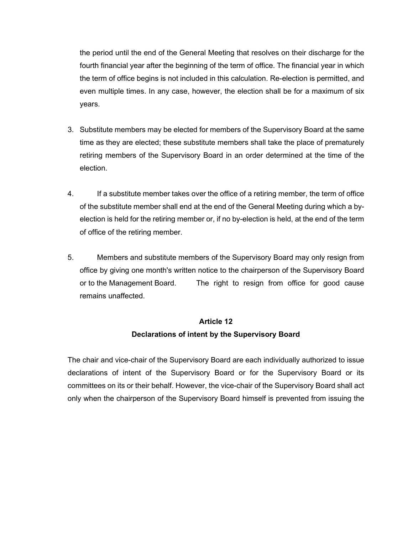the period until the end of the General Meeting that resolves on their discharge for the fourth financial year after the beginning of the term of office. The financial year in which the term of office begins is not included in this calculation. Re-election is permitted, and even multiple times. In any case, however, the election shall be for a maximum of six years.

- 3. Substitute members may be elected for members of the Supervisory Board at the same time as they are elected; these substitute members shall take the place of prematurely retiring members of the Supervisory Board in an order determined at the time of the election.
- 4. If a substitute member takes over the office of a retiring member, the term of office of the substitute member shall end at the end of the General Meeting during which a byelection is held for the retiring member or, if no by-election is held, at the end of the term of office of the retiring member.
- 5. Members and substitute members of the Supervisory Board may only resign from office by giving one month's written notice to the chairperson of the Supervisory Board or to the Management Board. The right to resign from office for good cause remains unaffected.

# **Article 12 Declarations of intent by the Supervisory Board**

The chair and vice-chair of the Supervisory Board are each individually authorized to issue declarations of intent of the Supervisory Board or for the Supervisory Board or its committees on its or their behalf. However, the vice-chair of the Supervisory Board shall act only when the chairperson of the Supervisory Board himself is prevented from issuing the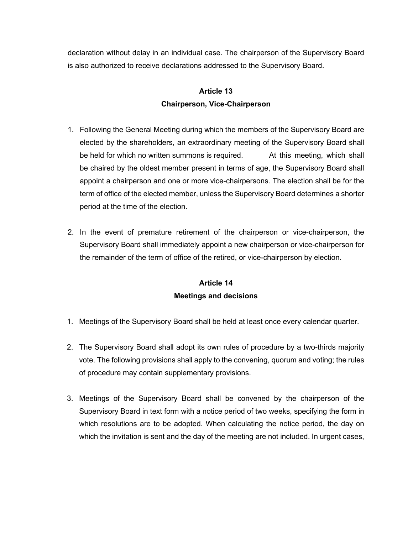declaration without delay in an individual case. The chairperson of the Supervisory Board is also authorized to receive declarations addressed to the Supervisory Board.

# **Article 13 Chairperson, Vice-Chairperson**

- 1. Following the General Meeting during which the members of the Supervisory Board are elected by the shareholders, an extraordinary meeting of the Supervisory Board shall be held for which no written summons is required. At this meeting, which shall be chaired by the oldest member present in terms of age, the Supervisory Board shall appoint a chairperson and one or more vice-chairpersons. The election shall be for the term of office of the elected member, unless the Supervisory Board determines a shorter period at the time of the election.
- 2. In the event of premature retirement of the chairperson or vice-chairperson, the Supervisory Board shall immediately appoint a new chairperson or vice-chairperson for the remainder of the term of office of the retired, or vice-chairperson by election.

## **Article 14 Meetings and decisions**

- 1. Meetings of the Supervisory Board shall be held at least once every calendar quarter.
- 2. The Supervisory Board shall adopt its own rules of procedure by a two-thirds majority vote. The following provisions shall apply to the convening, quorum and voting; the rules of procedure may contain supplementary provisions.
- 3. Meetings of the Supervisory Board shall be convened by the chairperson of the Supervisory Board in text form with a notice period of two weeks, specifying the form in which resolutions are to be adopted. When calculating the notice period, the day on which the invitation is sent and the day of the meeting are not included. In urgent cases,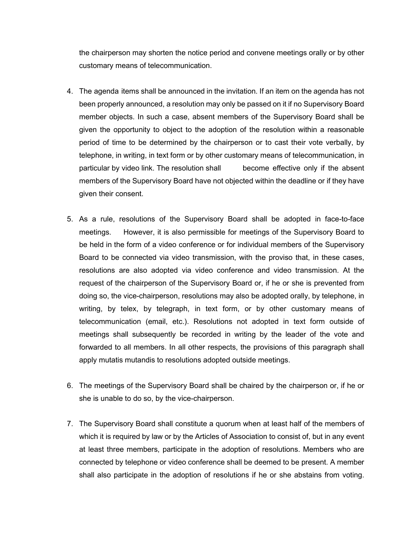the chairperson may shorten the notice period and convene meetings orally or by other customary means of telecommunication.

- 4. The agenda items shall be announced in the invitation. If an item on the agenda has not been properly announced, a resolution may only be passed on it if no Supervisory Board member objects. In such a case, absent members of the Supervisory Board shall be given the opportunity to object to the adoption of the resolution within a reasonable period of time to be determined by the chairperson or to cast their vote verbally, by telephone, in writing, in text form or by other customary means of telecommunication, in particular by video link. The resolution shall become effective only if the absent members of the Supervisory Board have not objected within the deadline or if they have given their consent.
- 5. As a rule, resolutions of the Supervisory Board shall be adopted in face-to-face meetings. However, it is also permissible for meetings of the Supervisory Board to be held in the form of a video conference or for individual members of the Supervisory Board to be connected via video transmission, with the proviso that, in these cases, resolutions are also adopted via video conference and video transmission. At the request of the chairperson of the Supervisory Board or, if he or she is prevented from doing so, the vice-chairperson, resolutions may also be adopted orally, by telephone, in writing, by telex, by telegraph, in text form, or by other customary means of telecommunication (email, etc.). Resolutions not adopted in text form outside of meetings shall subsequently be recorded in writing by the leader of the vote and forwarded to all members. In all other respects, the provisions of this paragraph shall apply mutatis mutandis to resolutions adopted outside meetings.
- 6. The meetings of the Supervisory Board shall be chaired by the chairperson or, if he or she is unable to do so, by the vice-chairperson.
- 7. The Supervisory Board shall constitute a quorum when at least half of the members of which it is required by law or by the Articles of Association to consist of, but in any event at least three members, participate in the adoption of resolutions. Members who are connected by telephone or video conference shall be deemed to be present. A member shall also participate in the adoption of resolutions if he or she abstains from voting.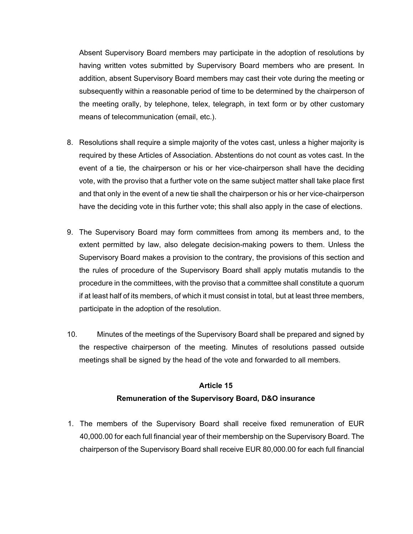Absent Supervisory Board members may participate in the adoption of resolutions by having written votes submitted by Supervisory Board members who are present. In addition, absent Supervisory Board members may cast their vote during the meeting or subsequently within a reasonable period of time to be determined by the chairperson of the meeting orally, by telephone, telex, telegraph, in text form or by other customary means of telecommunication (email, etc.).

- 8. Resolutions shall require a simple majority of the votes cast, unless a higher majority is required by these Articles of Association. Abstentions do not count as votes cast. In the event of a tie, the chairperson or his or her vice-chairperson shall have the deciding vote, with the proviso that a further vote on the same subject matter shall take place first and that only in the event of a new tie shall the chairperson or his or her vice-chairperson have the deciding vote in this further vote; this shall also apply in the case of elections.
- 9. The Supervisory Board may form committees from among its members and, to the extent permitted by law, also delegate decision-making powers to them. Unless the Supervisory Board makes a provision to the contrary, the provisions of this section and the rules of procedure of the Supervisory Board shall apply mutatis mutandis to the procedure in the committees, with the proviso that a committee shall constitute a quorum if at least half of its members, of which it must consist in total, but at least three members, participate in the adoption of the resolution.
- 10. Minutes of the meetings of the Supervisory Board shall be prepared and signed by the respective chairperson of the meeting. Minutes of resolutions passed outside meetings shall be signed by the head of the vote and forwarded to all members.

## **Article 15**

### **Remuneration of the Supervisory Board, D&O insurance**

1. The members of the Supervisory Board shall receive fixed remuneration of EUR 40,000.00 for each full financial year of their membership on the Supervisory Board. The chairperson of the Supervisory Board shall receive EUR 80,000.00 for each full financial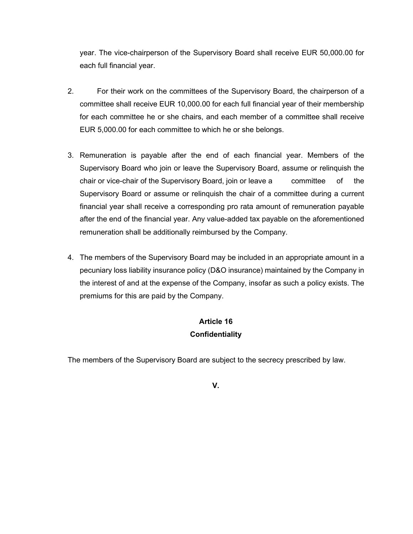year. The vice-chairperson of the Supervisory Board shall receive EUR 50,000.00 for each full financial year.

- 2. For their work on the committees of the Supervisory Board, the chairperson of a committee shall receive EUR 10,000.00 for each full financial year of their membership for each committee he or she chairs, and each member of a committee shall receive EUR 5,000.00 for each committee to which he or she belongs.
- 3. Remuneration is payable after the end of each financial year. Members of the Supervisory Board who join or leave the Supervisory Board, assume or relinquish the chair or vice-chair of the Supervisory Board, join or leave a committee of the Supervisory Board or assume or relinquish the chair of a committee during a current financial year shall receive a corresponding pro rata amount of remuneration payable after the end of the financial year. Any value-added tax payable on the aforementioned remuneration shall be additionally reimbursed by the Company.
- 4. The members of the Supervisory Board may be included in an appropriate amount in a pecuniary loss liability insurance policy (D&O insurance) maintained by the Company in the interest of and at the expense of the Company, insofar as such a policy exists. The premiums for this are paid by the Company.

## **Article 16 Confidentiality**

The members of the Supervisory Board are subject to the secrecy prescribed by law.

**V.**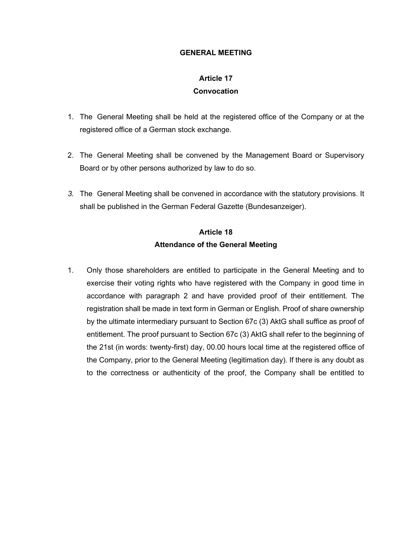#### **GENERAL MEETING**

### **Article 17**

#### **Convocation**

- 1. The General Meeting shall be held at the registered office of the Company or at the registered office of a German stock exchange.
- 2. The General Meeting shall be convened by the Management Board or Supervisory Board or by other persons authorized by law to do so.
- *3.* The General Meeting shall be convened in accordance with the statutory provisions. It shall be published in the German Federal Gazette (Bundesanzeiger).

# **Article 18 Attendance of the General Meeting**

1. Only those shareholders are entitled to participate in the General Meeting and to exercise their voting rights who have registered with the Company in good time in accordance with paragraph 2 and have provided proof of their entitlement. The registration shall be made in text form in German or English. Proof of share ownership by the ultimate intermediary pursuant to Section 67c (3) AktG shall suffice as proof of entitlement. The proof pursuant to Section 67c (3) AktG shall refer to the beginning of the 21st (in words: twenty-first) day, 00.00 hours local time at the registered office of the Company, prior to the General Meeting (legitimation day). If there is any doubt as to the correctness or authenticity of the proof, the Company shall be entitled to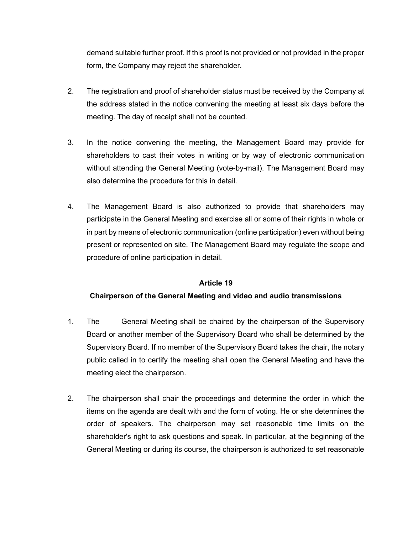demand suitable further proof. If this proof is not provided or not provided in the proper form, the Company may reject the shareholder.

- 2. The registration and proof of shareholder status must be received by the Company at the address stated in the notice convening the meeting at least six days before the meeting. The day of receipt shall not be counted.
- 3. In the notice convening the meeting, the Management Board may provide for shareholders to cast their votes in writing or by way of electronic communication without attending the General Meeting (vote-by-mail). The Management Board may also determine the procedure for this in detail.
- 4. The Management Board is also authorized to provide that shareholders may participate in the General Meeting and exercise all or some of their rights in whole or in part by means of electronic communication (online participation) even without being present or represented on site. The Management Board may regulate the scope and procedure of online participation in detail.

### **Article 19**

### **Chairperson of the General Meeting and video and audio transmissions**

- 1. The General Meeting shall be chaired by the chairperson of the Supervisory Board or another member of the Supervisory Board who shall be determined by the Supervisory Board. If no member of the Supervisory Board takes the chair, the notary public called in to certify the meeting shall open the General Meeting and have the meeting elect the chairperson.
- 2. The chairperson shall chair the proceedings and determine the order in which the items on the agenda are dealt with and the form of voting. He or she determines the order of speakers. The chairperson may set reasonable time limits on the shareholder's right to ask questions and speak. In particular, at the beginning of the General Meeting or during its course, the chairperson is authorized to set reasonable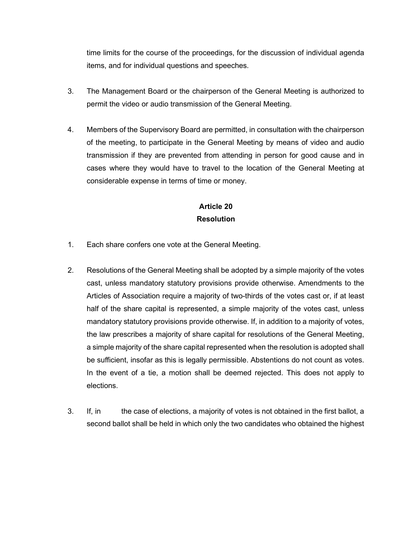time limits for the course of the proceedings, for the discussion of individual agenda items, and for individual questions and speeches.

- 3. The Management Board or the chairperson of the General Meeting is authorized to permit the video or audio transmission of the General Meeting.
- 4. Members of the Supervisory Board are permitted, in consultation with the chairperson of the meeting, to participate in the General Meeting by means of video and audio transmission if they are prevented from attending in person for good cause and in cases where they would have to travel to the location of the General Meeting at considerable expense in terms of time or money.

# **Article 20 Resolution**

- 1. Each share confers one vote at the General Meeting.
- 2. Resolutions of the General Meeting shall be adopted by a simple majority of the votes cast, unless mandatory statutory provisions provide otherwise. Amendments to the Articles of Association require a majority of two-thirds of the votes cast or, if at least half of the share capital is represented, a simple majority of the votes cast, unless mandatory statutory provisions provide otherwise. If, in addition to a majority of votes, the law prescribes a majority of share capital for resolutions of the General Meeting, a simple majority of the share capital represented when the resolution is adopted shall be sufficient, insofar as this is legally permissible. Abstentions do not count as votes. In the event of a tie, a motion shall be deemed rejected. This does not apply to elections.
- 3. If, in the case of elections, a majority of votes is not obtained in the first ballot, a second ballot shall be held in which only the two candidates who obtained the highest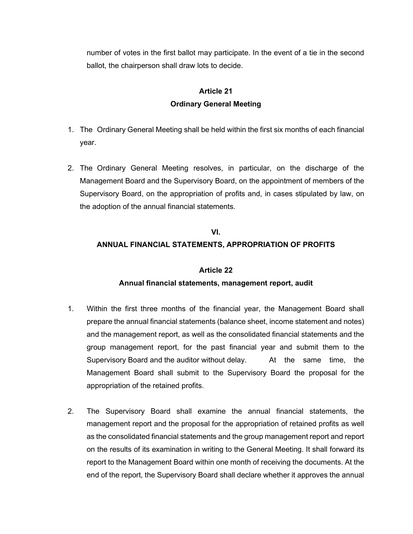number of votes in the first ballot may participate. In the event of a tie in the second ballot, the chairperson shall draw lots to decide.

# **Article 21 Ordinary General Meeting**

- 1. The Ordinary General Meeting shall be held within the first six months of each financial year.
- 2. The Ordinary General Meeting resolves, in particular, on the discharge of the Management Board and the Supervisory Board, on the appointment of members of the Supervisory Board, on the appropriation of profits and, in cases stipulated by law, on the adoption of the annual financial statements.

### **VI.**

### **ANNUAL FINANCIAL STATEMENTS, APPROPRIATION OF PROFITS**

### **Article 22**

### **Annual financial statements, management report, audit**

- 1. Within the first three months of the financial year, the Management Board shall prepare the annual financial statements (balance sheet, income statement and notes) and the management report, as well as the consolidated financial statements and the group management report, for the past financial year and submit them to the Supervisory Board and the auditor without delay. At the same time, the Management Board shall submit to the Supervisory Board the proposal for the appropriation of the retained profits.
- 2. The Supervisory Board shall examine the annual financial statements, the management report and the proposal for the appropriation of retained profits as well as the consolidated financial statements and the group management report and report on the results of its examination in writing to the General Meeting. It shall forward its report to the Management Board within one month of receiving the documents. At the end of the report, the Supervisory Board shall declare whether it approves the annual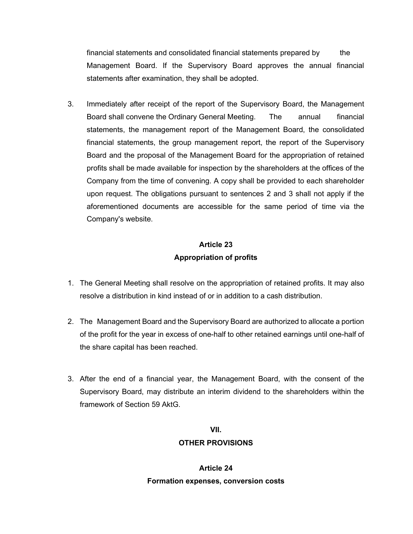financial statements and consolidated financial statements prepared by the Management Board. If the Supervisory Board approves the annual financial statements after examination, they shall be adopted.

3. Immediately after receipt of the report of the Supervisory Board, the Management Board shall convene the Ordinary General Meeting. The annual financial statements, the management report of the Management Board, the consolidated financial statements, the group management report, the report of the Supervisory Board and the proposal of the Management Board for the appropriation of retained profits shall be made available for inspection by the shareholders at the offices of the Company from the time of convening. A copy shall be provided to each shareholder upon request. The obligations pursuant to sentences 2 and 3 shall not apply if the aforementioned documents are accessible for the same period of time via the Company's website.

# **Article 23 Appropriation of profits**

- 1. The General Meeting shall resolve on the appropriation of retained profits. It may also resolve a distribution in kind instead of or in addition to a cash distribution.
- 2. The Management Board and the Supervisory Board are authorized to allocate a portion of the profit for the year in excess of one-half to other retained earnings until one-half of the share capital has been reached.
- 3. After the end of a financial year, the Management Board, with the consent of the Supervisory Board, may distribute an interim dividend to the shareholders within the framework of Section 59 AktG.

### **VII. OTHER PROVISIONS**

**Article 24 Formation expenses, conversion costs**